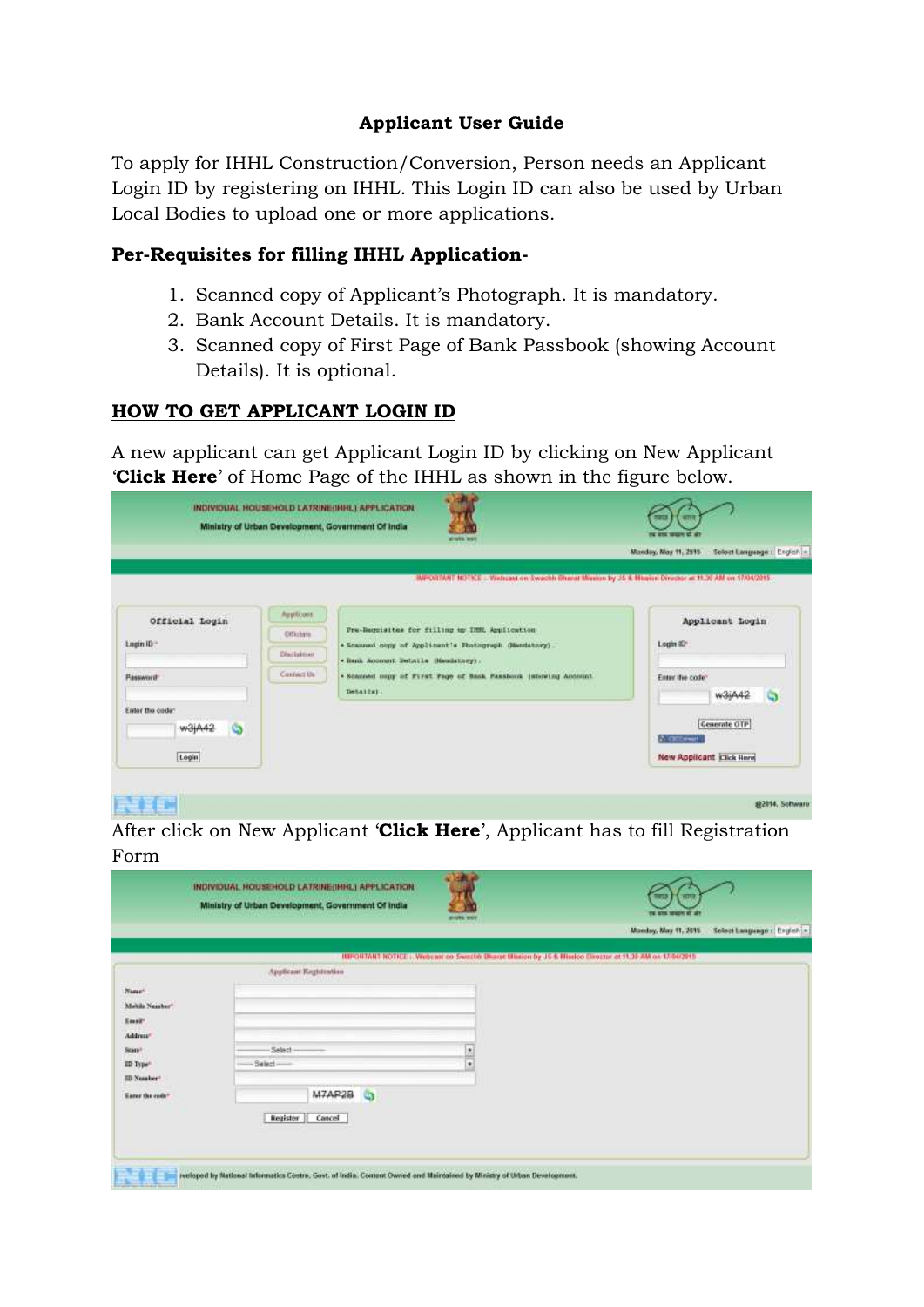## **Applicant User Guide**

To apply for IHHL Construction/Conversion, Person needs an Applicant Login ID by registering on IHHL. This Login ID can also be used by Urban Local Bodies to upload one or more applications.

#### **Per-Requisites for filling IHHL Application-**

- 1. Scanned copy of Applicant's Photograph. It is mandatory.
- 2. Bank Account Details. It is mandatory.
- 3. Scanned copy of First Page of Bank Passbook (showing Account Details). It is optional.

## **HOW TO GET APPLICANT LOGIN ID**

A new applicant can get Applicant Login ID by clicking on New Applicant '**Click Here**' of Home Page of the IHHL as shown in the figure below.

|                                                         |                         | <b>ATTACHED WAY</b>                                                                                                              | FC RTS WIDE<br>Monday, May 11, 2015<br>Select Language : English |
|---------------------------------------------------------|-------------------------|----------------------------------------------------------------------------------------------------------------------------------|------------------------------------------------------------------|
|                                                         |                         | MPORTANT NOTICE - Webcast on Swechli Oharat Missiun by JS & Missiun Director at 11.30 AM on 17/04/2015                           |                                                                  |
| Official Login<br>the company's the company's company's | Applicant:<br>Officials | And the state of the state of the team and the state of the state of the state<br>Fre-Requisites for filling up IMML Application | Applicant Login                                                  |
| Login ID                                                | Disclaimer              | * Scanned oppy of Applicant's Bostograph Genetatory).<br>. Bank Account Swtatle (Mandatory).                                     | Login ID"                                                        |
| Password <sup>-</sup>                                   | Cuntact Ua              | . Scanned copy of First Page of Bank Fassbook (showing Account<br>Details).                                                      | Enter the code"                                                  |
| Enter the code:<br>w3jA42                               |                         |                                                                                                                                  | Generate OTP<br><b>CONTRACTOR</b><br><b>A CICCIPANT</b>          |
| Login                                                   |                         |                                                                                                                                  | <b>New Applicant Click Here</b>                                  |

After click on New Applicant '**Click Here**', Applicant has to fill Registration Form

|                                                                                                                | INDIVIDUAL HOUSEHOLD LATRINE(IHHL) APPLICATION<br>Ministry of Urban Development, Government Of India | <b>MINNE WILL</b> | माम<br>250<br>TV: 673. MADN 87. AT                                                                    |                            |
|----------------------------------------------------------------------------------------------------------------|------------------------------------------------------------------------------------------------------|-------------------|-------------------------------------------------------------------------------------------------------|----------------------------|
|                                                                                                                |                                                                                                      |                   | Monday, May 11, 2015                                                                                  | Select Language: English = |
|                                                                                                                |                                                                                                      |                   | IMPORTANT NOTICE: Webcast.co Swachli Bluege Mission by J5 & Missico Shozzur at 11.39 AM on 17/84/2915 |                            |
| 525.00                                                                                                         | Applicant Registration                                                                               |                   |                                                                                                       |                            |
| Nanse <sup>+</sup><br>Mobile Nember<br>Tool?<br>Address*<br>Starp+<br>ID Type <sup>+</sup><br><b>ID</b> Number | Salect-<br>Select-                                                                                   | H                 |                                                                                                       |                            |
| Easer the code"                                                                                                | M7AR28<br>G<br>Cancel<br>Register                                                                    |                   |                                                                                                       |                            |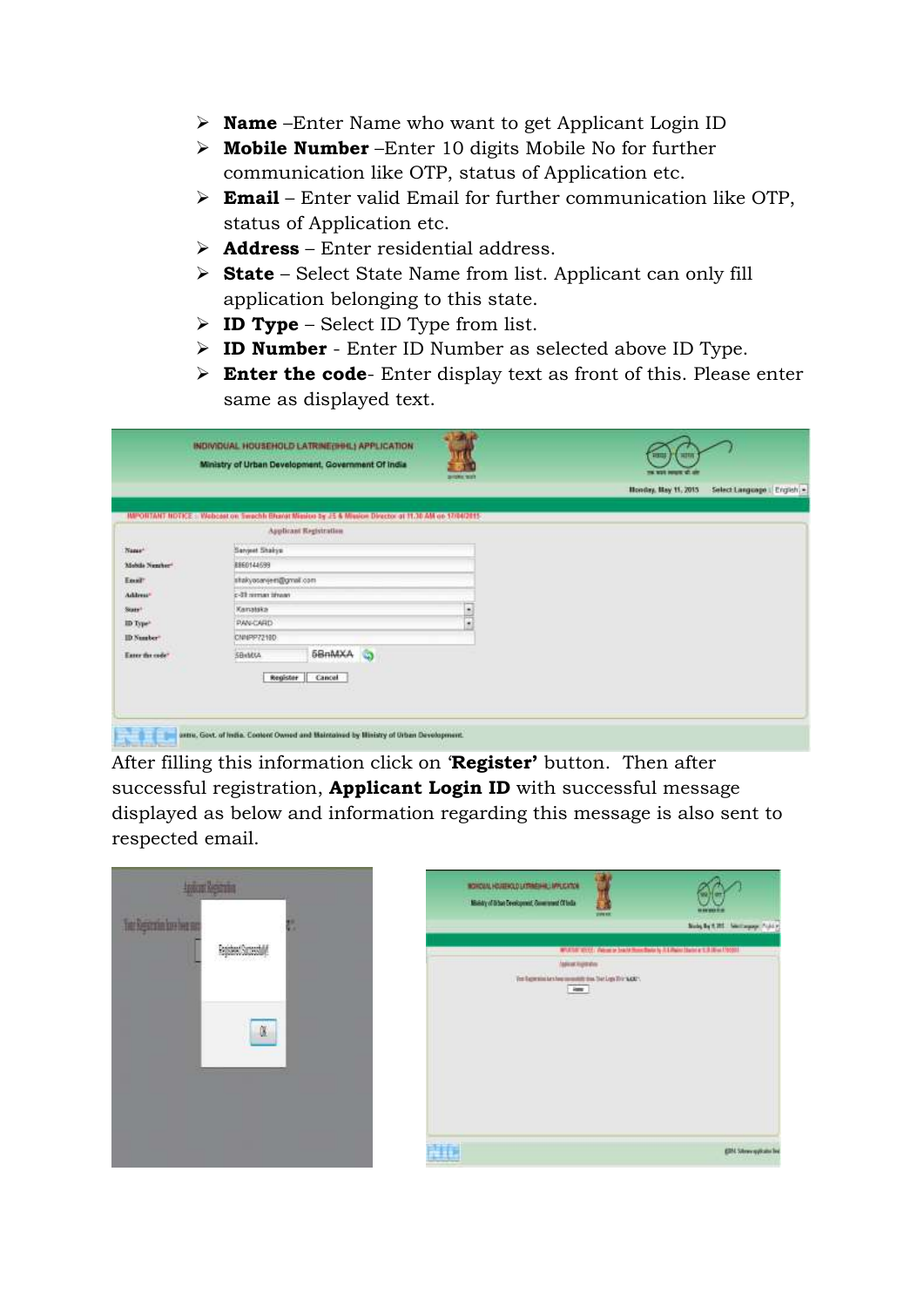- **Name** –Enter Name who want to get Applicant Login ID
- **Mobile Number** –Enter 10 digits Mobile No for further communication like OTP, status of Application etc.
- **Email** Enter valid Email for further communication like OTP, status of Application etc.
- **Address** Enter residential address.
- **State** Select State Name from list. Applicant can only fill application belonging to this state.
- **ID Type** Select ID Type from list.
- **ID Number** Enter ID Number as selected above ID Type.
- **Enter the code** Enter display text as front of this. Please enter same as displayed text.

|                      | INDIVIDUAL HOUSEHOLD LATRINE(IHHL) APPLICATION<br>Ministry of Urban Development, Government Of India      | profes tools | <b>THE RIVE PRINT</b> |                           |
|----------------------|-----------------------------------------------------------------------------------------------------------|--------------|-----------------------|---------------------------|
|                      |                                                                                                           |              | Honday, May 11, 2015  | Select Language   English |
|                      | IMPORTANT NOTICE :: Webcost on Swechli Bharat Mission by JS & Mission Director at 11.30 AM on 17/04/2015- |              |                       |                           |
|                      | Applicant Registration                                                                                    |              |                       |                           |
| Name <sup>+</sup>    | Servent Shakys:                                                                                           |              |                       |                           |
| Mobile Number        | 8860144699                                                                                                |              |                       |                           |
| Ensit                | stakyosaveen@gmail.com                                                                                    |              |                       |                           |
| <b>Address</b> *     | c-31 mman itrean                                                                                          |              |                       |                           |
| Stars <sup>+</sup>   | Karratska                                                                                                 | $-$<br>H     |                       |                           |
| ID Type <sup>2</sup> | <b>PAN-CARD</b>                                                                                           |              |                       |                           |
| ID Number            | CNNPP72100                                                                                                |              |                       |                           |
| Enter the code"      | 58nMXA<br>SBHMXA                                                                                          | G            |                       |                           |
|                      | Register<br>Cancel                                                                                        |              |                       |                           |

After filling this information click on '**Register'** button. Then after successful registration, **Applicant Login ID** with successful message displayed as below and information regarding this message is also sent to respected email.

|                       | tgiordgain |         |
|-----------------------|------------|---------|
| he Reportin bushet no |            | ٠<br>ŧ. |
|                       |            |         |
|                       |            |         |
|                       |            |         |

| ROYOUAL HOUSEKAD LITRINSHIP, MALCATON<br>Ministry of Drive Development, Commissed Of India | profession, | Subs by C.H. Sectionary, C.A.L.                                               |
|--------------------------------------------------------------------------------------------|-------------|-------------------------------------------------------------------------------|
| <b>MAKING ROBBY</b>                                                                        |             | MTATULICOS / Viene le brazil Hono Barie la JLE/Bariel State e 1.3 JUni 170001 |
| The Experiment has monoted that Dat Lep Thir NAT'.<br>$-$ April                            |             |                                                                               |
|                                                                                            |             |                                                                               |
|                                                                                            |             |                                                                               |
|                                                                                            |             | <b>EDM</b> Schweiggstatte fire                                                |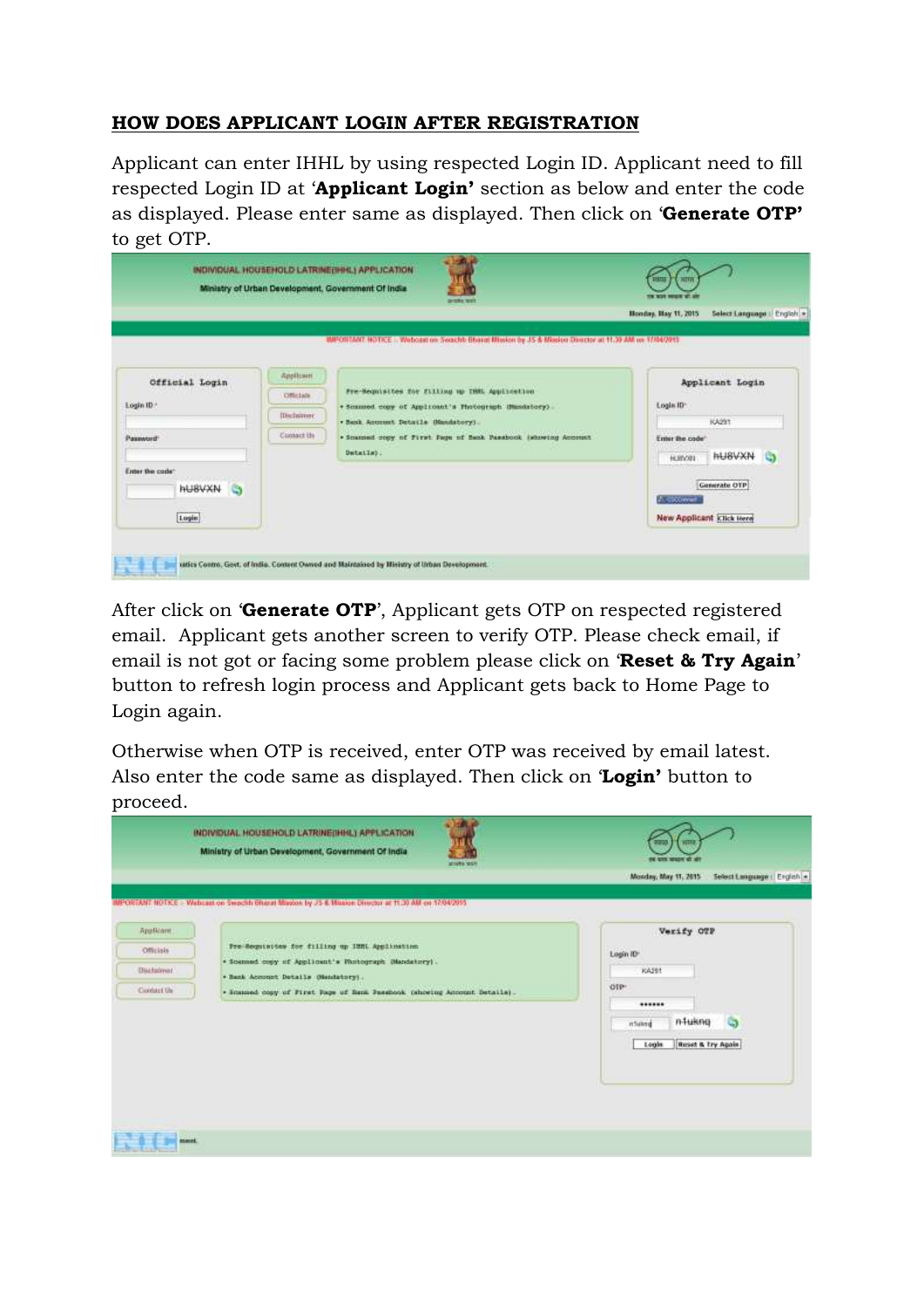#### **HOW DOES APPLICANT LOGIN AFTER REGISTRATION**

Applicant can enter IHHL by using respected Login ID. Applicant need to fill respected Login ID at '**Applicant Login'** section as below and enter the code as displayed. Please enter same as displayed. Then click on '**Generate OTP'** to get OTP.

|                 |                    |                                                                                                        | Select Language   English =<br>Honday, Hay 11, 2015  |  |  |
|-----------------|--------------------|--------------------------------------------------------------------------------------------------------|------------------------------------------------------|--|--|
|                 |                    | MPOSTANT NOTICE - Webcast on Swacht: Bharat Blissien by JS & Mission Director at                       | 7.104.07013                                          |  |  |
| Official Login  | Друйски            | CASE OF HIS CASE OF A LANGUAGE CONTROL.                                                                | <b>Philadelphia Macchennic</b><br>Applicant Login    |  |  |
| Login ID.*      | Officials          | Fre-Requisites for filling up THML Application<br>+ Seamsed copy of Applicant's Photograph (Musdatory) | Login ID*                                            |  |  |
|                 | <b>Illicialmer</b> | . Besk Account Details (Handstory).                                                                    | A STORY<br>KAZIT                                     |  |  |
| Password        | Climacz the        | . Scanned copy of First Fage of Sank Passbook (showing Account                                         | Enter the code'                                      |  |  |
|                 |                    | Datails).                                                                                              | <b>HUSVXN</b><br><b>HUM/XEL</b><br><b>TELEVISION</b> |  |  |
| Enter the code" |                    |                                                                                                        | <b>Generate OTP</b>                                  |  |  |
| <b>HUBVXN</b>   |                    |                                                                                                        | A. closened.                                         |  |  |
| Login           |                    |                                                                                                        | New Applicant Click Here                             |  |  |

After click on '**Generate OTP**', Applicant gets OTP on respected registered email. Applicant gets another screen to verify OTP. Please check email, if email is not got or facing some problem please click on '**Reset & Try Again**' button to refresh login process and Applicant gets back to Home Page to Login again.

Otherwise when OTP is received, enter OTP was received by email latest. Also enter the code same as displayed. Then click on '**Login'** button to proceed.

|                                  | Ministry of Urban Development, Government Of India<br><b>ATTACHED TESTS</b>                                                                                                                                                                                                     | 1111<br>2233<br>FE STA MISSY IS IN<br>Monday, May 11, 2015<br>Select Language : English = |
|----------------------------------|---------------------------------------------------------------------------------------------------------------------------------------------------------------------------------------------------------------------------------------------------------------------------------|-------------------------------------------------------------------------------------------|
| Applicant:<br>Officials          | IPORTANT NOTICE :- Wabcast on Swadhin Bharat Mission by JS & Mission Director at 11.30 AM on 17/04/2015<br>contract and the contract and a series of the contract of<br>Fre-Regnisites for filling up IBML Application<br>* Scanned copy of Applicant's Photograph (Mandatory). | Verify OTP<br>Login ID<br>KA291                                                           |
| <b>Dischsimer</b><br>Contact the | * Bank Account Details Obsidatory).<br>. Scanned copy of First Page of Bank Passbook (showing Account Details).                                                                                                                                                                 | ore-<br>******<br>n-Hukng<br>a<br>mania<br>Login<br><b>Roset &amp; Try Again</b>          |
| ment.                            |                                                                                                                                                                                                                                                                                 |                                                                                           |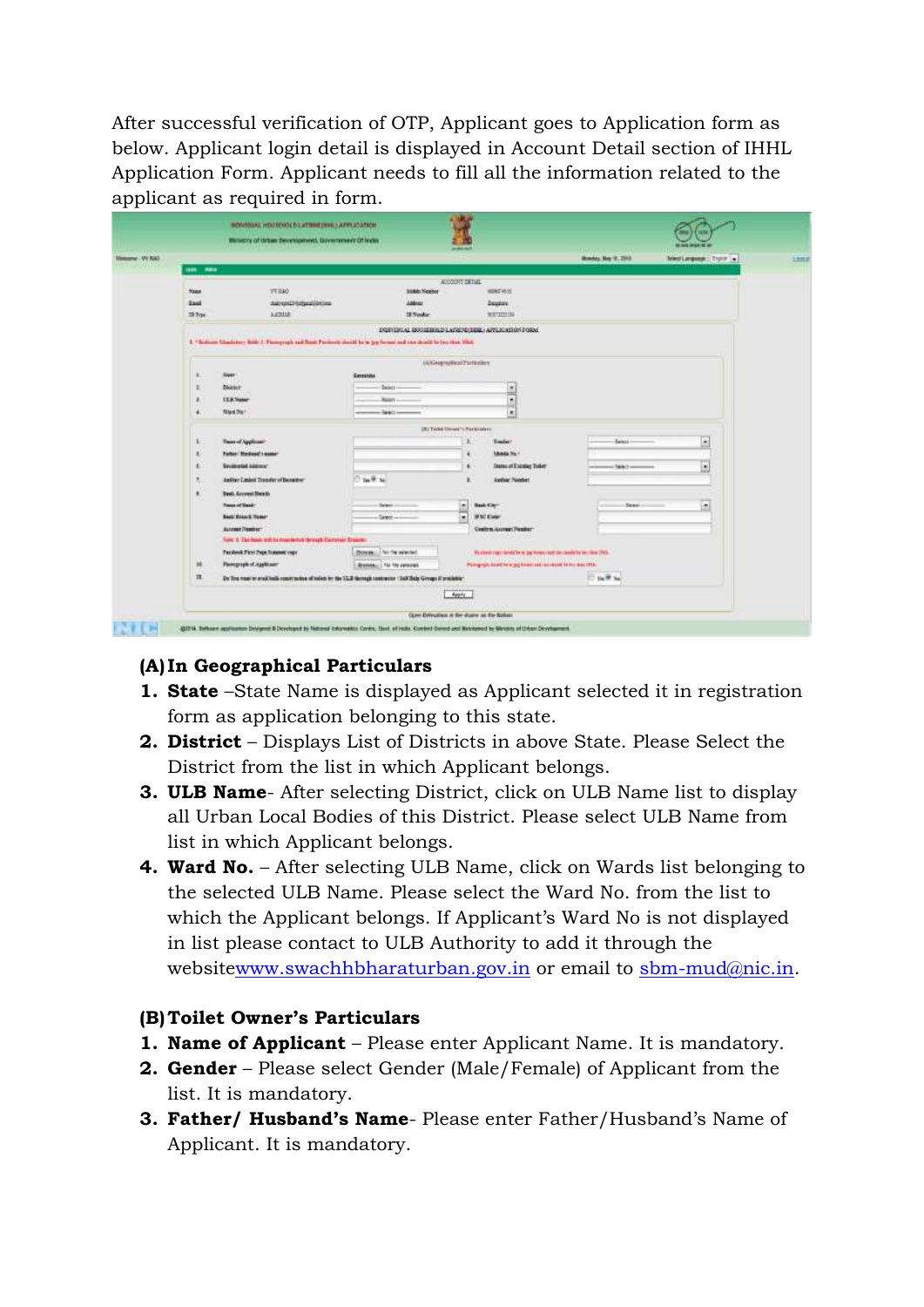After successful verification of OTP, Applicant goes to Application form as below. Applicant login detail is displayed in Account Detail section of IHHL Application Form. Applicant needs to fill all the information related to the applicant as required in form.

|                                                                                                                     | Warranty of lating bevelopment, Doversmeet Of India                                                       |                                                  |                          |                                                               |                      |                             |  |  |  |  |  |  |
|---------------------------------------------------------------------------------------------------------------------|-----------------------------------------------------------------------------------------------------------|--------------------------------------------------|--------------------------|---------------------------------------------------------------|----------------------|-----------------------------|--|--|--|--|--|--|
| 1888 7878                                                                                                           |                                                                                                           |                                                  |                          |                                                               | Monday, May 12, 2213 | Antent Language: Engine (m. |  |  |  |  |  |  |
|                                                                                                                     |                                                                                                           |                                                  | ALCOHOL: DETAIL          |                                                               |                      |                             |  |  |  |  |  |  |
| Nase.                                                                                                               | VT KAO                                                                                                    | <b>Mobile Newbor</b>                             |                          | <b>MINERSON</b>                                               |                      |                             |  |  |  |  |  |  |
| <b>Ibid</b>                                                                                                         | AMTURED (utperlikeling                                                                                    | Attract                                          |                          | <b>Depart</b>                                                 |                      |                             |  |  |  |  |  |  |
| IB Trax                                                                                                             | ARTHUR                                                                                                    | 19 Nordian                                       |                          | With the car                                                  |                      |                             |  |  |  |  |  |  |
|                                                                                                                     |                                                                                                           |                                                  |                          | ESPRIBULAL EDISSEROLD LATISTS (TERLA APPLICATION PORM)        |                      |                             |  |  |  |  |  |  |
| 2. "Science blankers; RAR 2. Famoyegh and Sant Pacifical choid by a joy former and rise deads to lay then that they |                                                                                                           |                                                  |                          |                                                               |                      |                             |  |  |  |  |  |  |
|                                                                                                                     |                                                                                                           |                                                  | <b>GOVERNMENT DIRECT</b> |                                                               |                      |                             |  |  |  |  |  |  |
| 1<br><b>Base</b>                                                                                                    |                                                                                                           | With the company of the company of<br>Exceptible |                          |                                                               |                      |                             |  |  |  |  |  |  |
| ı<br><b>District</b>                                                                                                |                                                                                                           | Select-<br>$\frac{1}{2}$                         |                          |                                                               |                      |                             |  |  |  |  |  |  |
| <b>L'E &amp; Viener</b><br>×                                                                                        |                                                                                                           | <b>Balady</b>                                    |                          |                                                               |                      |                             |  |  |  |  |  |  |
| Ward 30cm<br>٠                                                                                                      | T,<br>$-14441 -$                                                                                          |                                                  |                          |                                                               |                      |                             |  |  |  |  |  |  |
| 28) Toold Diversity Particulars (                                                                                   |                                                                                                           |                                                  |                          |                                                               |                      |                             |  |  |  |  |  |  |
| x                                                                                                                   | <b>Twen of Applicant</b>                                                                                  |                                                  |                          | <b><i><u>Emaint</u></i></b><br>r.                             | Ewinci.              | $\bullet$                   |  |  |  |  |  |  |
| $\mathbf{R}$                                                                                                        | Father Washeed's nome-                                                                                    |                                                  |                          | Middle Va.+                                                   |                      |                             |  |  |  |  |  |  |
| E.                                                                                                                  | Emilested Aldinson                                                                                        |                                                  |                          | <b>Itemi of Estation Toker</b><br>×                           | CRACK COMMERCIAL     | E                           |  |  |  |  |  |  |
| з.                                                                                                                  | Anthur Lislant Treasfer of Benedict                                                                       | Tee 97 Au                                        |                          | <b>Author Number</b>                                          |                      |                             |  |  |  |  |  |  |
| ٠                                                                                                                   | Dash Account Heads                                                                                        |                                                  |                          |                                                               |                      |                             |  |  |  |  |  |  |
| <b>Texas of Texas</b>                                                                                               |                                                                                                           | Detect:                                          | ÷                        | <b>Bash City</b>                                              | <b>Taxer</b>         | 圖                           |  |  |  |  |  |  |
|                                                                                                                     | <b>Back Branch Name:</b>                                                                                  | Green-                                           |                          | <b>BOICKING</b>                                               |                      |                             |  |  |  |  |  |  |
|                                                                                                                     | Assembly Ford or "<br><b>CALL 2019</b>                                                                    |                                                  |                          | Coutirm Assess (Reader-                                       |                      |                             |  |  |  |  |  |  |
|                                                                                                                     | have 3. The basic will be reachered through Electronic Transfer.                                          |                                                  |                          |                                                               |                      |                             |  |  |  |  |  |  |
|                                                                                                                     | Packeok First Page Summer copy                                                                            | <b>Dorm II</b> Nith week!                        |                          | Partner raccionidate publication design in line 2018.         |                      |                             |  |  |  |  |  |  |
| M.                                                                                                                  | Parmgraph of Applicant                                                                                    | Stymph., The file personal                       |                          | Paingraph dead for a gaples and an elected for the days 25th. |                      |                             |  |  |  |  |  |  |
| $\mathbf{H}$                                                                                                        | Dy Trainsation emailings communities at third in the TLB through contents third Mala Group if a substitu- |                                                  |                          |                                                               | <b>District</b>      |                             |  |  |  |  |  |  |
|                                                                                                                     |                                                                                                           |                                                  | Apply                    |                                                               |                      |                             |  |  |  |  |  |  |

#### **(A) In Geographical Particulars**

- **1. State** –State Name is displayed as Applicant selected it in registration form as application belonging to this state.
- **2. District** Displays List of Districts in above State. Please Select the District from the list in which Applicant belongs.
- **3. ULB Name** After selecting District, click on ULB Name list to display all Urban Local Bodies of this District. Please select ULB Name from list in which Applicant belongs.
- **4. Ward No.** After selecting ULB Name, click on Wards list belonging to the selected ULB Name. Please select the Ward No. from the list to which the Applicant belongs. If Applicant's Ward No is not displayed in list please contact to ULB Authority to add it through the websit[ewww.swachhbharaturban.gov.in](http://www.swachhbharaturban.gov.in/) or email to [sbm-mud@nic.in.](mailto:sbm-mud@nic.in)

#### **(B)Toilet Owner's Particulars**

- **1. Name of Applicant** Please enter Applicant Name. It is mandatory.
- **2. Gender** Please select Gender (Male/Female) of Applicant from the list. It is mandatory.
- **3. Father/ Husband's Name** Please enter Father/Husband's Name of Applicant. It is mandatory.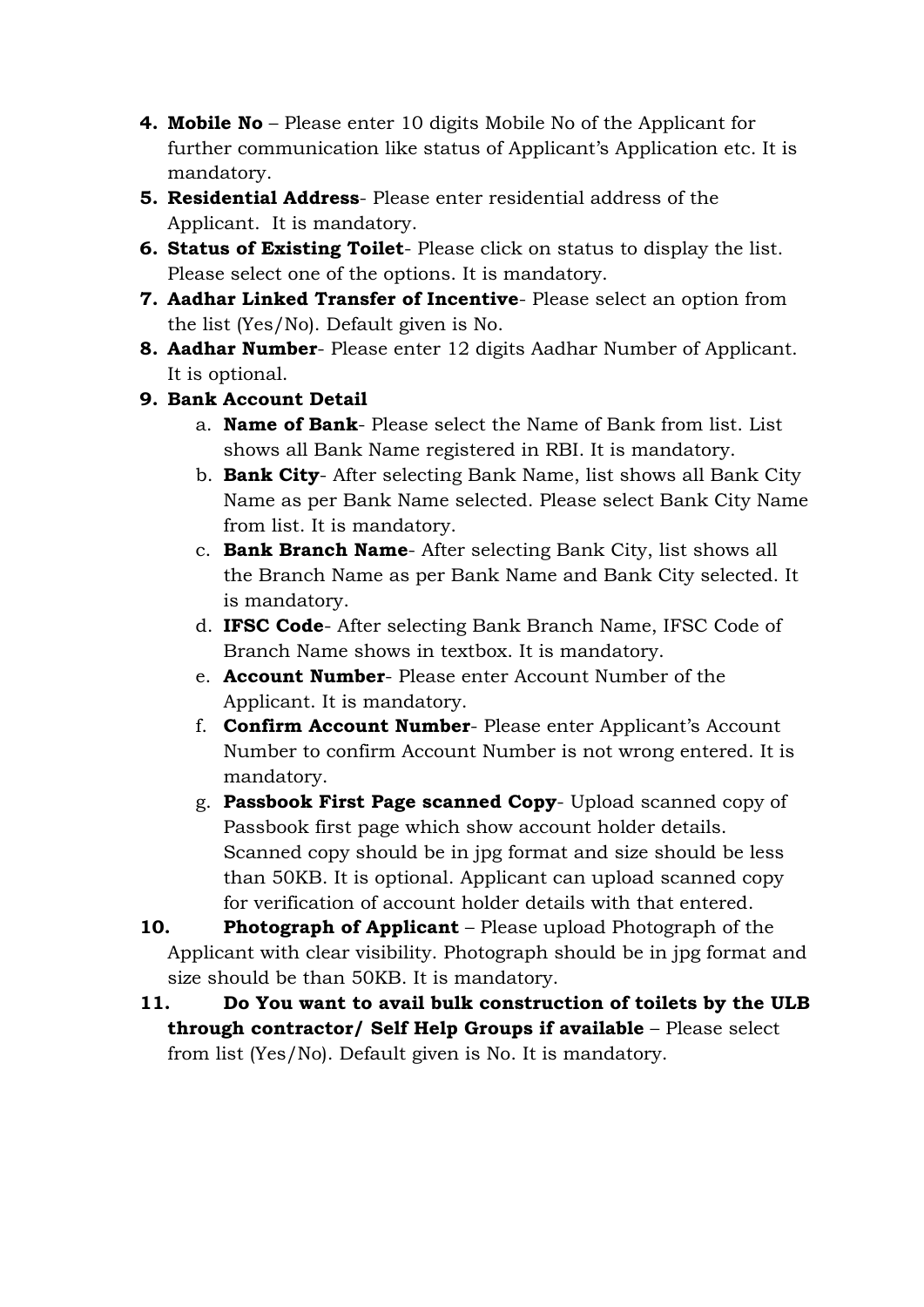- **4. Mobile No** Please enter 10 digits Mobile No of the Applicant for further communication like status of Applicant's Application etc. It is mandatory.
- **5. Residential Address** Please enter residential address of the Applicant. It is mandatory.
- **6. Status of Existing Toilet** Please click on status to display the list. Please select one of the options. It is mandatory.
- **7. Aadhar Linked Transfer of Incentive** Please select an option from the list (Yes/No). Default given is No.
- **8. Aadhar Number** Please enter 12 digits Aadhar Number of Applicant. It is optional.
- **9. Bank Account Detail**
	- a. **Name of Bank** Please select the Name of Bank from list. List shows all Bank Name registered in RBI. It is mandatory.
	- b. **Bank City** After selecting Bank Name, list shows all Bank City Name as per Bank Name selected. Please select Bank City Name from list. It is mandatory.
	- c. **Bank Branch Name** After selecting Bank City, list shows all the Branch Name as per Bank Name and Bank City selected. It is mandatory.
	- d. **IFSC Code** After selecting Bank Branch Name, IFSC Code of Branch Name shows in textbox. It is mandatory.
	- e. **Account Number** Please enter Account Number of the Applicant. It is mandatory.
	- f. **Confirm Account Number** Please enter Applicant's Account Number to confirm Account Number is not wrong entered. It is mandatory.
	- g. **Passbook First Page scanned Copy** Upload scanned copy of Passbook first page which show account holder details. Scanned copy should be in jpg format and size should be less than 50KB. It is optional. Applicant can upload scanned copy for verification of account holder details with that entered.

**10. Photograph of Applicant** – Please upload Photograph of the Applicant with clear visibility. Photograph should be in jpg format and size should be than 50KB. It is mandatory.

**11. Do You want to avail bulk construction of toilets by the ULB through contractor/ Self Help Groups if available** – Please select from list (Yes/No). Default given is No. It is mandatory.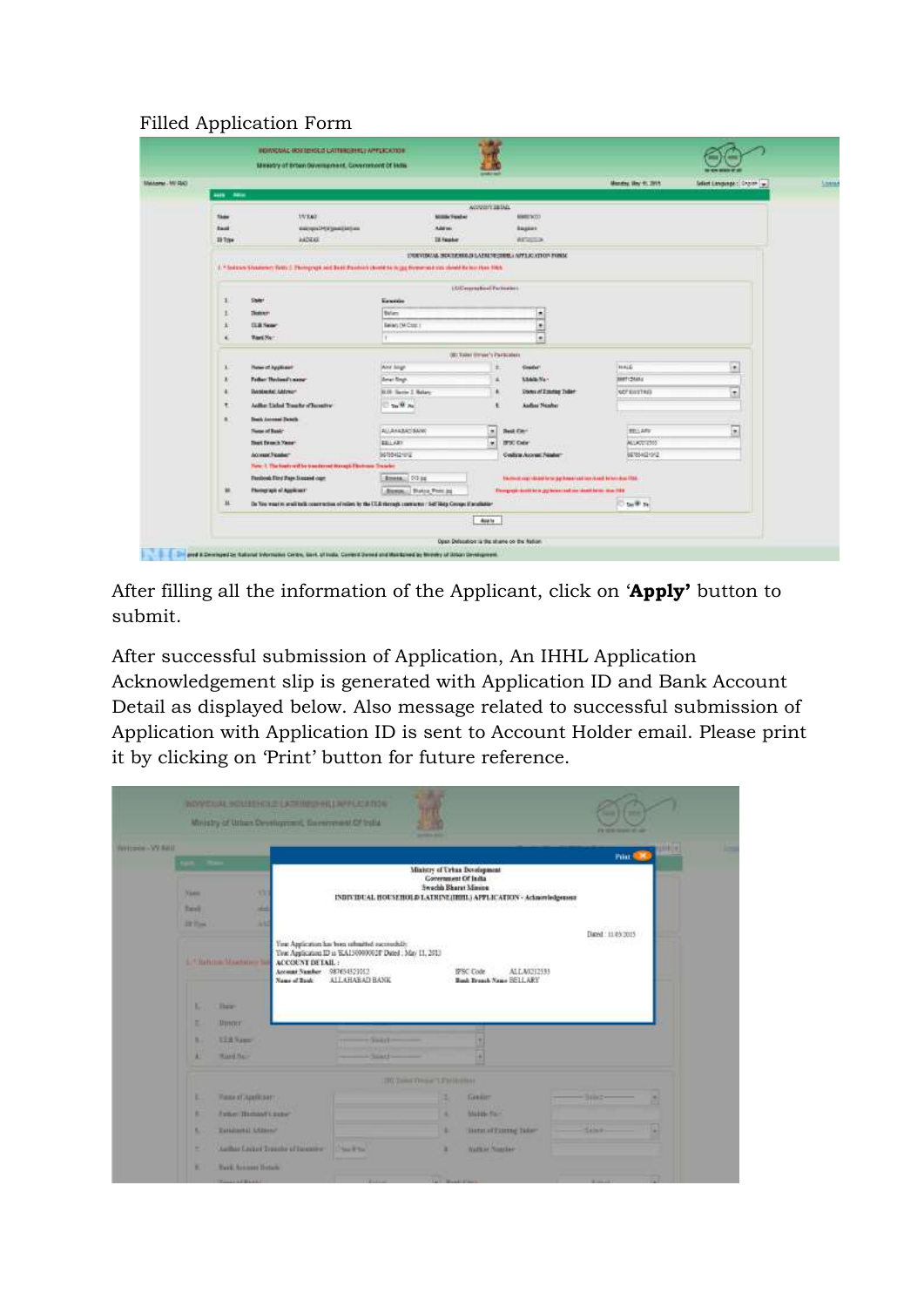# Filled Application Form

| University Little |                                                                                                                        |                                                                                                                |                           | <b><i><u>mediate</u></i></b> |                                                                            | Months May 11, 2011 | Select Language : Singlet   w. |  |  |  |  |  |
|-------------------|------------------------------------------------------------------------------------------------------------------------|----------------------------------------------------------------------------------------------------------------|---------------------------|------------------------------|----------------------------------------------------------------------------|---------------------|--------------------------------|--|--|--|--|--|
|                   | <b>ALCOHOL: 1980</b>                                                                                                   |                                                                                                                |                           |                              |                                                                            |                     |                                |  |  |  |  |  |
|                   |                                                                                                                        |                                                                                                                |                           | Account as Ma.               |                                                                            |                     |                                |  |  |  |  |  |
|                   | <b>Tade</b>                                                                                                            | <b>WEAR</b>                                                                                                    | <b>Million Vander</b>     |                              | <b>MARCHIO</b>                                                             |                     |                                |  |  |  |  |  |
|                   | <b>Danil</b>                                                                                                           | except2493patilebes                                                                                            | <b>Address</b>            |                              | <b>Bagaire</b>                                                             |                     |                                |  |  |  |  |  |
|                   | 19 Tow                                                                                                                 | <b>AADEAS</b>                                                                                                  | <b>12 Featur</b>          |                              | <b>WESTERN</b>                                                             |                     |                                |  |  |  |  |  |
|                   | ENDIVERSIAL SIGRITUDIUS.IS LATISTA EDIDIUS APPEACHED ON FORM.                                                          |                                                                                                                |                           |                              |                                                                            |                     |                                |  |  |  |  |  |
|                   | 1. * Salesin Strutuner: Yells 2. Photograph and Bent Penthal's book he is just fivewerable for should be booklyn 10th. |                                                                                                                |                           |                              |                                                                            |                     |                                |  |  |  |  |  |
|                   |                                                                                                                        |                                                                                                                |                           | LUC except boot Partners to  |                                                                            |                     |                                |  |  |  |  |  |
|                   | Staker!                                                                                                                |                                                                                                                | Executive                 |                              |                                                                            |                     |                                |  |  |  |  |  |
|                   | <b>Distances</b>                                                                                                       |                                                                                                                | Balanc                    |                              |                                                                            |                     |                                |  |  |  |  |  |
|                   | $\frac{1}{2}$<br>Belan (MCost)<br><b>SER News</b><br>Ward No 1<br>٠<br>٠                                               |                                                                                                                |                           |                              |                                                                            |                     |                                |  |  |  |  |  |
|                   |                                                                                                                        |                                                                                                                |                           |                              |                                                                            |                     |                                |  |  |  |  |  |
|                   | <b>OECTIVINT SYNNA'S Paintenant</b>                                                                                    |                                                                                                                |                           |                              |                                                                            |                     |                                |  |  |  |  |  |
|                   |                                                                                                                        | Plates of Applicant                                                                                            | <b>DOM:N</b><br>And longe |                              | <b>Greeker</b>                                                             | HALE                | ×                              |  |  |  |  |  |
|                   |                                                                                                                        | Father Hydend's new                                                                                            | <b>Briat Bags</b>         |                              | <b>State Na-</b><br>٠                                                      | <b>MARTI DAKKI</b>  |                                |  |  |  |  |  |
|                   |                                                                                                                        | <b><i><u><u>Restauta: Address</u></u></i></b>                                                                  | 0.00 Serie 2 Notary       |                              | <b>States of Emerge Today</b><br>٠                                         | <b>SEFERITAR</b>    | $\overline{\mathbf{a}}$        |  |  |  |  |  |
|                   | ٠                                                                                                                      | Adhe Lisbal Touchr of Jacontro                                                                                 | The Miller                |                              | <b>Andios Number</b>                                                       |                     |                                |  |  |  |  |  |
|                   |                                                                                                                        | <b>Beach Announced Division</b>                                                                                |                           |                              |                                                                            |                     |                                |  |  |  |  |  |
|                   |                                                                                                                        | <b>Theme of Bank</b>                                                                                           | <b>BILBARBATISMAN</b>     | $\bullet$                    | <b>Bask Carr</b>                                                           | <b>RELLARS</b>      | τ                              |  |  |  |  |  |
|                   |                                                                                                                        | <b>Tiest Execut Yang</b>                                                                                       | EEL ART                   | τ                            | IPSC Cabr                                                                  | <b>ALLAZEDIS</b>    |                                |  |  |  |  |  |
|                   |                                                                                                                        | Access Finance                                                                                                 | 34155412-012              |                              | Costica Accred Peader                                                      | BE100421012         |                                |  |  |  |  |  |
|                   |                                                                                                                        | New 1. The loads will be transferred through Electronic Trainfect                                              |                           |                              |                                                                            |                     |                                |  |  |  |  |  |
|                   |                                                                                                                        | Ferdook filmi Faja Stagaed care                                                                                | <b>Brena</b> 10 is        |                              | This closed any related for help process and interviewed before show FRAS. |                     |                                |  |  |  |  |  |
|                   | ×                                                                                                                      | Plantage agis of Applicates'                                                                                   | -Bonos - States Pierr by  |                              | Disagreek deze bela geheben salt zur dentitieren den 1988                  |                     |                                |  |  |  |  |  |
|                   | $\mathbf{u}$                                                                                                           | De You want to enal balk construction of relies by the ULB states to constant or Self-Maty Center if analysism |                           |                              |                                                                            | tall to             |                                |  |  |  |  |  |

After filling all the information of the Applicant, click on '**Apply'** button to submit.

After successful submission of Application, An IHHL Application Acknowledgement slip is generated with Application ID and Bank Account Detail as displayed below. Also message related to successful submission of Application with Application ID is sent to Account Holder email. Please print it by clicking on 'Print' button for future reference.

|                        |                              | Ministry of Utban Development, European of Cf India. |                                                                 | <b>WOVERING WOULDNESD OF LATING HIS APPEARANCE</b>                                                                             |                                                                              |                                                                  | <b>PERMITTEN AND</b>                     |            |
|------------------------|------------------------------|------------------------------------------------------|-----------------------------------------------------------------|--------------------------------------------------------------------------------------------------------------------------------|------------------------------------------------------------------------------|------------------------------------------------------------------|------------------------------------------|------------|
| <b>NUCLEAR VV RAIL</b> |                              |                                                      |                                                                 |                                                                                                                                |                                                                              |                                                                  | Print Q.W.                               | <b>MOK</b> |
|                        | <b>Name</b><br><b>Target</b> | w<br>۰                                               |                                                                 |                                                                                                                                | Mixistry of Urban Development<br>Covernment Of India<br>Swachh Bharat Minine | INDIVIDUAL HOUSEHOLD LATRINE/IBBIL/APPLICATION - Acknowledgement |                                          |            |
|                        | <b>EXTING</b>                | m<br><b>L. Clarkers Masters La</b>                   | ACCOUNT DE TAIL:<br>Account Number 287654521012<br>Name of Bank | Your Application has been rebuilted excessibility<br>Your Application ID is EA150900028 Dated ; May 11, 2013<br>ALLAHABAD BANK |                                                                              | ALLA0212533<br>1PSC Code<br><b>Bank Breash Name RELLARY</b>      | <b>ACTUARTING</b><br>Digest : 11/85/2015 |            |
|                        | ю                            | <b>Hara</b> n                                        |                                                                 |                                                                                                                                |                                                                              |                                                                  |                                          |            |
|                        | и                            | инопс                                                |                                                                 |                                                                                                                                |                                                                              |                                                                  |                                          |            |
|                        | ٠                            | <b>STANAH</b>                                        |                                                                 | <b>Card of B</b>                                                                                                               |                                                                              |                                                                  |                                          |            |
|                        | ٠                            | Highliter                                            |                                                                 |                                                                                                                                |                                                                              |                                                                  |                                          |            |
|                        |                              |                                                      |                                                                 |                                                                                                                                | <b>IRCOMMYPHILE STATEMENT</b>                                                |                                                                  |                                          |            |
|                        | к                            | Казал Главнаят.                                      |                                                                 |                                                                                                                                | ٠                                                                            | <b>Tianger</b>                                                   | <b>SERIES</b>                            |            |
|                        | ×                            | Jane Banavivane                                      |                                                                 |                                                                                                                                |                                                                              | <b>COLLEGE</b><br><b>Maritim Rain</b>                            |                                          |            |
|                        | к                            | <b>Teledizatel LASSAN</b>                            |                                                                 |                                                                                                                                | ٠                                                                            | lists of Filmig Taker                                            | <b>Called</b>                            |            |
|                        | ٠                            |                                                      | Author Listed Trenthe of Incomer-                               | Disa Kital                                                                                                                     | ٠                                                                            | Watton Noustan                                                   |                                          |            |
|                        | ٠                            | <b>Tard, Account Details</b>                         |                                                                 |                                                                                                                                |                                                                              |                                                                  |                                          |            |
|                        |                              | <b>TALLAND BASE</b>                                  |                                                                 |                                                                                                                                |                                                                              |                                                                  |                                          |            |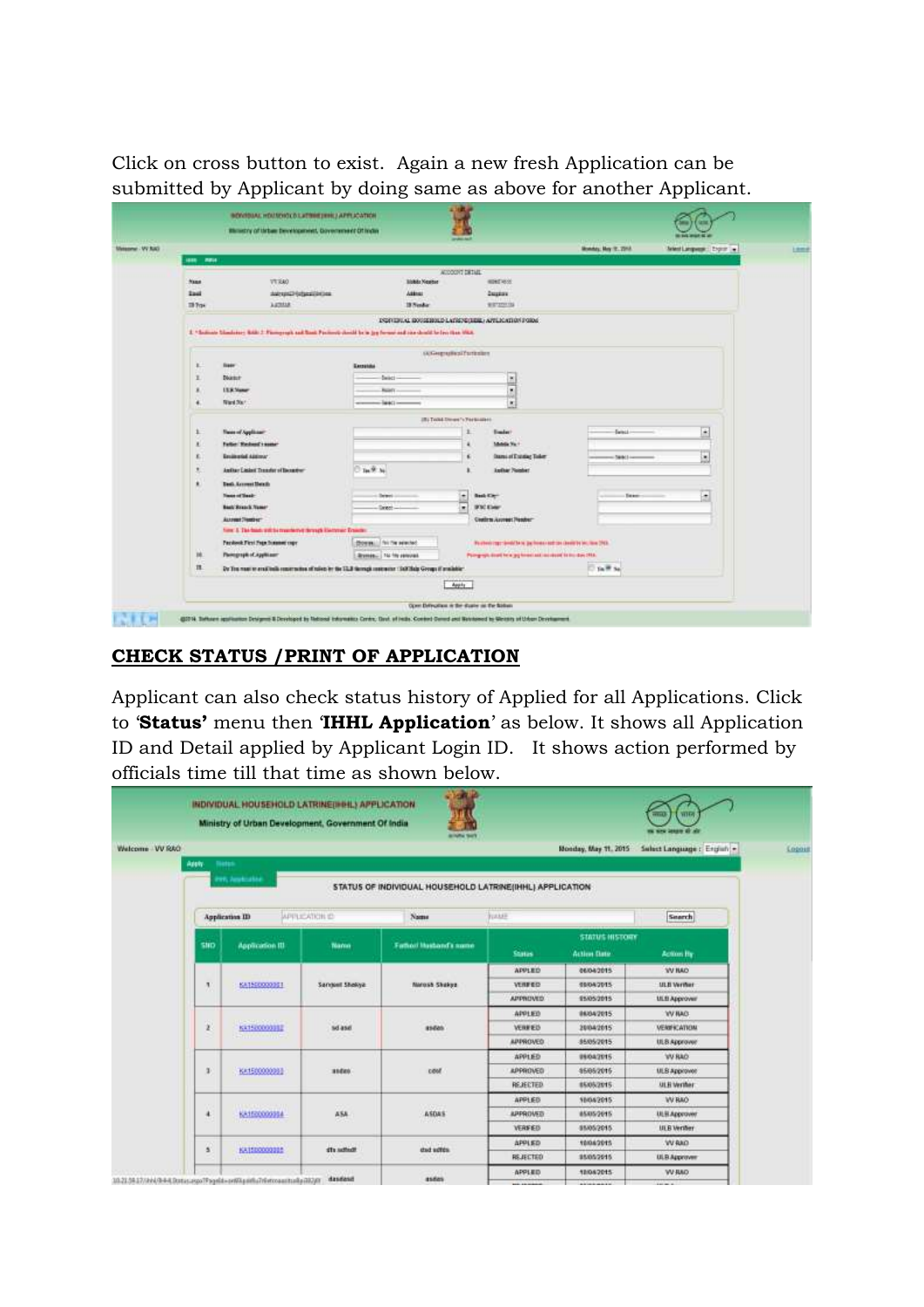Click on cross button to exist. Again a new fresh Application can be submitted by Applicant by doing same as above for another Applicant.

|                                                |                                                                                                                   |                                     | Monday, May 18, 2215.    | Antent Language : Engran (w)                                      |                     |                |  |  |  |  |
|------------------------------------------------|-------------------------------------------------------------------------------------------------------------------|-------------------------------------|--------------------------|-------------------------------------------------------------------|---------------------|----------------|--|--|--|--|
| <b>ABB MEDIA</b>                               |                                                                                                                   |                                     |                          |                                                                   |                     |                |  |  |  |  |
| Ness                                           | VT KAO                                                                                                            | <b>Mobile Newton</b>                | ALCOCOT DETAIL           | <b>MINERSON</b>                                                   |                     |                |  |  |  |  |
| <b>East</b>                                    | AMINUTED SUBJECTION DAM                                                                                           | Attns:                              |                          | <b>Depart</b>                                                     |                     |                |  |  |  |  |
| III Trav                                       | <b>ARTHUR</b>                                                                                                     | 19 Nordian                          |                          | WIDTERFIELD                                                       |                     |                |  |  |  |  |
|                                                |                                                                                                                   |                                     |                          | ESPRIBULAE EDISSEROLD LATRING/EDELL APPLICATION PORM.             |                     |                |  |  |  |  |
|                                                | 2. "Science Similator: RAB 2. Finneyrals and Stati Factions cloud by in typ forms and the deadl by lay than this. |                                     |                          |                                                                   |                     |                |  |  |  |  |
|                                                |                                                                                                                   |                                     |                          |                                                                   |                     |                |  |  |  |  |
|                                                |                                                                                                                   |                                     | <b>GOVERNMENT DIRECT</b> |                                                                   |                     |                |  |  |  |  |
| x.<br>liser                                    |                                                                                                                   | Exceptible                          |                          |                                                                   |                     |                |  |  |  |  |
| x<br><b>District</b><br><b>L'EX Vance</b><br>× |                                                                                                                   | Sales-                              |                          | l w<br>m<br>i.                                                    |                     |                |  |  |  |  |
| ٠                                              |                                                                                                                   | <b>RatioTX</b><br>T,<br>$-144421 -$ |                          |                                                                   |                     |                |  |  |  |  |
| <b>Riad Start</b>                              |                                                                                                                   |                                     |                          |                                                                   |                     |                |  |  |  |  |
|                                                |                                                                                                                   | IR: Tool Direct Vitariance          |                          |                                                                   |                     |                |  |  |  |  |
| x                                              | <b>Twin of Applicant</b>                                                                                          |                                     |                          | <b>Emine:</b>                                                     | Ewinci -            | ×              |  |  |  |  |
| x                                              | Father Washeed's nome-<br><b>Eminuted Address</b>                                                                 |                                     | ä.                       | Middle No.+                                                       |                     |                |  |  |  |  |
| x.                                             |                                                                                                                   | Tee 97 No.                          |                          | <b>Itemi of Estation Toker</b>                                    | <b>Direct Local</b> | l.             |  |  |  |  |
| $\mathbf{R}$                                   | Anthur Lislant Treasfer of Benedien-                                                                              |                                     |                          | <b>Author Number</b>                                              |                     |                |  |  |  |  |
| ٠<br><b>News of Sealer</b>                     | Dash Account Hersity                                                                                              |                                     | ÷                        | <b>Bash City</b>                                                  | <b>Taxer</b>        | $\overline{z}$ |  |  |  |  |
|                                                | <b>Back Breach Name</b>                                                                                           | <b>Detroit</b><br>Seed              | ę                        | <b>UNCESSI</b>                                                    |                     |                |  |  |  |  |
|                                                | Assembly Francisco<br>34.000                                                                                      |                                     |                          | Contints Assessed Pleader-                                        |                     |                |  |  |  |  |
|                                                | has 1 Tai bad with markets firms Earner Trails:                                                                   |                                     |                          |                                                                   |                     |                |  |  |  |  |
|                                                | Paysbook First Fage Summer copy                                                                                   | <b>Donal I for the selected</b>     |                          | Pauteoi regrievati tete lautomas autrize develote ini, lass 1913. |                     |                |  |  |  |  |
| 16                                             | Parentraph of Applicant                                                                                           | Stymes The filty personal           |                          | Paingraph doubt be a lag forest and loss shoot to building 2014.  |                     |                |  |  |  |  |
| $\mathbf{H}$                                   | 2y Trainset to enal train contention of raises by the CLB farmals contented CAC Bala Groups if produkter.         |                                     |                          |                                                                   | <b>Disk Se</b>      |                |  |  |  |  |
|                                                |                                                                                                                   |                                     | Apply                    |                                                                   |                     |                |  |  |  |  |

## **CHECK STATUS /PRINT OF APPLICATION**

Applicant can also check status history of Applied for all Applications. Click to '**Status'** menu then '**IHHL Application**' as below. It shows all Application ID and Detail applied by Applicant Login ID. It shows action performed by officials time till that time as shown below.

|                |                        |                                            | INDIVIDUAL HOUSEHOLD LATRINE(INHL) APPLICATION<br>Ministry of Urban Development, Government Of India |                                                          |                 |                       | VID<br><b>TITLE</b>         |  |
|----------------|------------------------|--------------------------------------------|------------------------------------------------------------------------------------------------------|----------------------------------------------------------|-----------------|-----------------------|-----------------------------|--|
| Welcome VV RAO |                        |                                            |                                                                                                      |                                                          |                 | Monday, May 11, 2015  | Select Language : English = |  |
|                | <b>Bieten</b><br>Apply | Helium Jane                                |                                                                                                      | STATUS OF INDIVIDUAL HOUSEHOLD LATRINE(IHHL) APPLICATION |                 |                       |                             |  |
|                |                        | <b>Application III</b>                     | <b>APPLICATION ID</b>                                                                                | Name                                                     | <b>FULLER</b>   |                       | Search                      |  |
|                |                        |                                            |                                                                                                      |                                                          |                 | <b>STATUS HISTORY</b> |                             |  |
|                | SND                    | <b>Application III</b>                     | Nanni                                                                                                | Fathod Hasband's some                                    | <b>Status</b>   | <b>Action Date</b>    | <b>Action By</b>            |  |
|                |                        |                                            |                                                                                                      |                                                          | APPLED          | 06/04/2015            | <b>WIND</b>                 |  |
|                | л                      | 68150000001                                | Sangest Shokya:                                                                                      | Marosh Shekya                                            | VERFED          | 19042015              | <b>ULB Verhar</b>           |  |
|                |                        |                                            |                                                                                                      |                                                          | <b>APPROVED</b> | 95/05/2015            | <b>ULE Approver</b>         |  |
|                |                        |                                            |                                                                                                      |                                                          | APPLIED         | 06/04/2015            | <b>WIMS</b>                 |  |
|                | ż                      | <b>District Controllers</b><br>KX15000000E | <b>CONSTRUCT</b><br>sd asd                                                                           | $-1.511$<br>sseas                                        | VERFED          | 2004/2015             | <b>VENIFICATION</b>         |  |
|                |                        | <b>Bing the first</b>                      |                                                                                                      |                                                          | <b>ARPROVED</b> | 8505/2015             | ULS Approver                |  |
|                |                        |                                            |                                                                                                      |                                                          | <b>APPLIED</b>  | 09/04/2015            | <b>WRAD</b>                 |  |
|                | з                      | KA1500000083                               | 314 EE6                                                                                              | cest                                                     | <b>APPROVED</b> | 4505/2015             | ULS Approved                |  |
|                |                        |                                            |                                                                                                      |                                                          | <b>REJECTED</b> | 85052015              | <b>ULB</b> Verther          |  |
|                |                        |                                            |                                                                                                      |                                                          | APPLED          | 10042015              | W RAO                       |  |
|                | $\ddot{\phantom{1}}$   | <b>UNIVERSITY</b><br>KA150000994           | ASA                                                                                                  | <b>COPY</b><br>ASDAS                                     | APPROVED        | 8505/2015             | ULSI Approved               |  |
|                |                        |                                            |                                                                                                      |                                                          | VERFED          | 85/05/2015            | <b>ULB Verifier</b>         |  |
|                |                        |                                            |                                                                                                      |                                                          | APPLED          | 10042015              | <b>OAR W</b>                |  |
|                | а                      | KATEDOOOGGE<br><b>FRIDE</b>                | dia subject                                                                                          | stud agres.                                              | REJECTED        | 95/05/2015            | ULB Approver                |  |